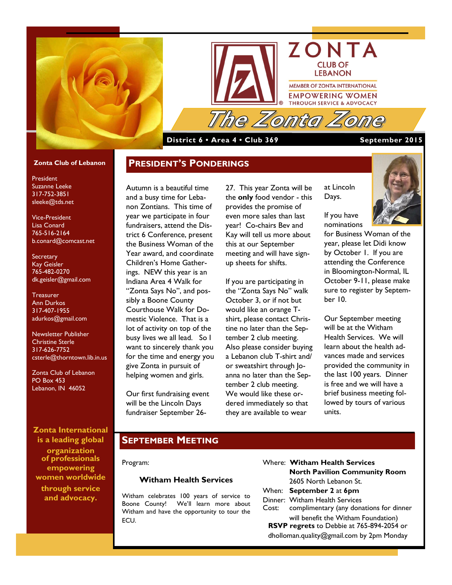



#### **District 6 • Area 4 • Club 369 September 2015**

**PRESIDENT'S PONDERINGS**

#### **Zonta Club of Lebanon**

President Suzanne Leeke 317-752-3851 sleeke@tds.net

Vice-President Lisa Conard 765-516-2164 b.conard@comcast.net

**Secretary** Kay Geisler 765-482-0270 dk.geisler@gmail.com

**Treasurer** Ann Durkos 317-407-1955 adurkos@gmail.com

Newsletter Publisher Christine Sterle 317-626-7752 csterle@thorntown.lib.in.us

Zonta Club of Lebanon PO Box 453 Lebanon, IN 46052

### **Zonta International is a leading global**

**organization of professionals empowering women worldwide through service and advocacy.**

Autumn is a beautiful time and a busy time for Lebanon Zontians. This time of year we participate in four fundraisers, attend the District 6 Conference, present the Business Woman of the Year award, and coordinate Children's Home Gatherings. NEW this year is an Indiana Area 4 Walk for "Zonta Says No", and possibly a Boone County Courthouse Walk for Domestic Violence. That is a lot of activity on top of the busy lives we all lead. So I want to sincerely thank you for the time and energy you give Zonta in pursuit of helping women and girls.

Our first fundraising event will be the Lincoln Days fundraiser September 2627. This year Zonta will be the **only** food vendor - this provides the promise of even more sales than last year! Co-chairs Bev and Kay will tell us more about this at our September meeting and will have signup sheets for shifts.

If you are participating in the "Zonta Says No" walk October 3, or if not but would like an orange Tshirt, please contact Christine no later than the September 2 club meeting. Also please consider buying a Lebanon club T-shirt and/ or sweatshirt through Joanna no later than the September 2 club meeting. We would like these ordered immediately so that they are available to wear

for Business Woman of the year, please let Didi know by October 1. If you are attending the Conference in Bloomington-Normal, IL October 9-11, please make sure to register by September 10.

at Lincoln Days.

If you have nominations

Our September meeting will be at the Witham Health Services. We will learn about the health advances made and services provided the community in the last 100 years. Dinner is free and we will have a brief business meeting followed by tours of various units.

### **SEPTEMBER MEETING**

Program:

#### **Witham Health Services**

Witham celebrates 100 years of service to Boone County! We'll learn more about Witham and have the opportunity to tour the ECU.

- Where: **Witham Health Services North Pavilion Community Room** 2605 North Lebanon St.
- When: **September 2** at **6pm**
- Dinner: Witham Health Services Cost: complimentary (any donations for dinner

will benefit the Witham Foundation) **RSVP regrets** to Debbie at 765-894-2054 or

dholloman.quality@gmail.com by 2pm Monday